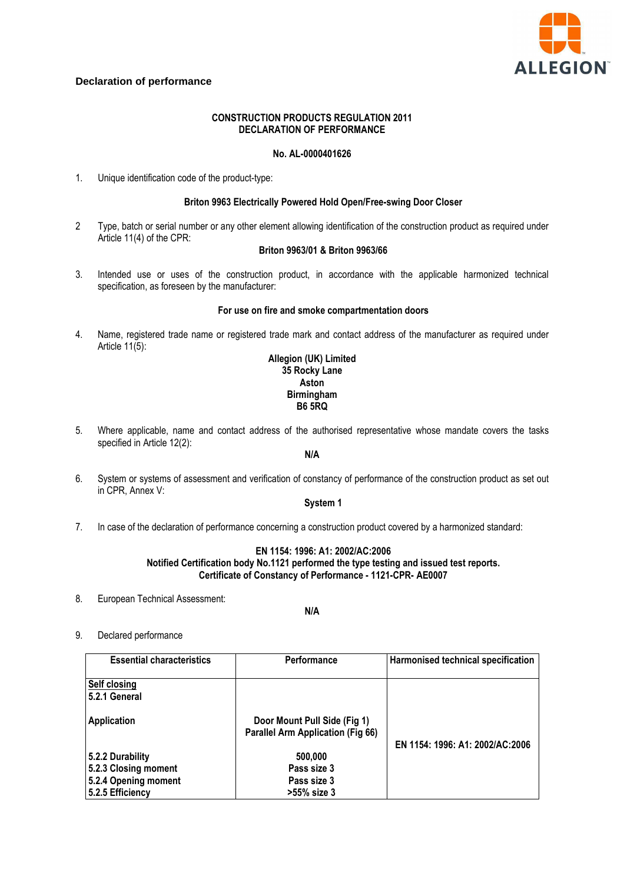

# **Declaration of performance**

# **CONSTRUCTION PRODUCTS REGULATION 2011 DECLARATION OF PERFORMANCE**

## **No. AL-0000401626**

1. Unique identification code of the product-type:

## **Briton 9963 Electrically Powered Hold Open/Free-swing Door Closer**

2 Type, batch or serial number or any other element allowing identification of the construction product as required under Article 11(4) of the CPR:

## **Briton 9963/01 & Briton 9963/66**

3. Intended use or uses of the construction product, in accordance with the applicable harmonized technical specification, as foreseen by the manufacturer:

#### **For use on fire and smoke compartmentation doors**

4. Name, registered trade name or registered trade mark and contact address of the manufacturer as required under Article 11(5):

# **Allegion (UK) Limited 35 Rocky Lane Aston Birmingham B6 5RQ**

5. Where applicable, name and contact address of the authorised representative whose mandate covers the tasks specified in Article 12(2):

# **N/A**

6. System or systems of assessment and verification of constancy of performance of the construction product as set out in CPR, Annex V:

# **System 1**

7. In case of the declaration of performance concerning a construction product covered by a harmonized standard:

## **EN 1154: 1996: A1: 2002/AC:2006 Notified Certification body No.1121 performed the type testing and issued test reports. Certificate of Constancy of Performance - 1121-CPR- AE0007**

8. European Technical Assessment:

## **N/A**

9. Declared performance

| <b>Essential characteristics</b> | Performance                                                              | Harmonised technical specification |
|----------------------------------|--------------------------------------------------------------------------|------------------------------------|
| Self closing<br>5.2.1 General    |                                                                          |                                    |
| Application                      | Door Mount Pull Side (Fig 1)<br><b>Parallel Arm Application (Fig 66)</b> | EN 1154: 1996: A1: 2002/AC:2006    |
| 5.2.2 Durability                 | 500,000                                                                  |                                    |
| 5.2.3 Closing moment             | Pass size 3                                                              |                                    |
| 5.2.4 Opening moment             | Pass size 3                                                              |                                    |
| 5.2.5 Efficiency                 | >55% size 3                                                              |                                    |